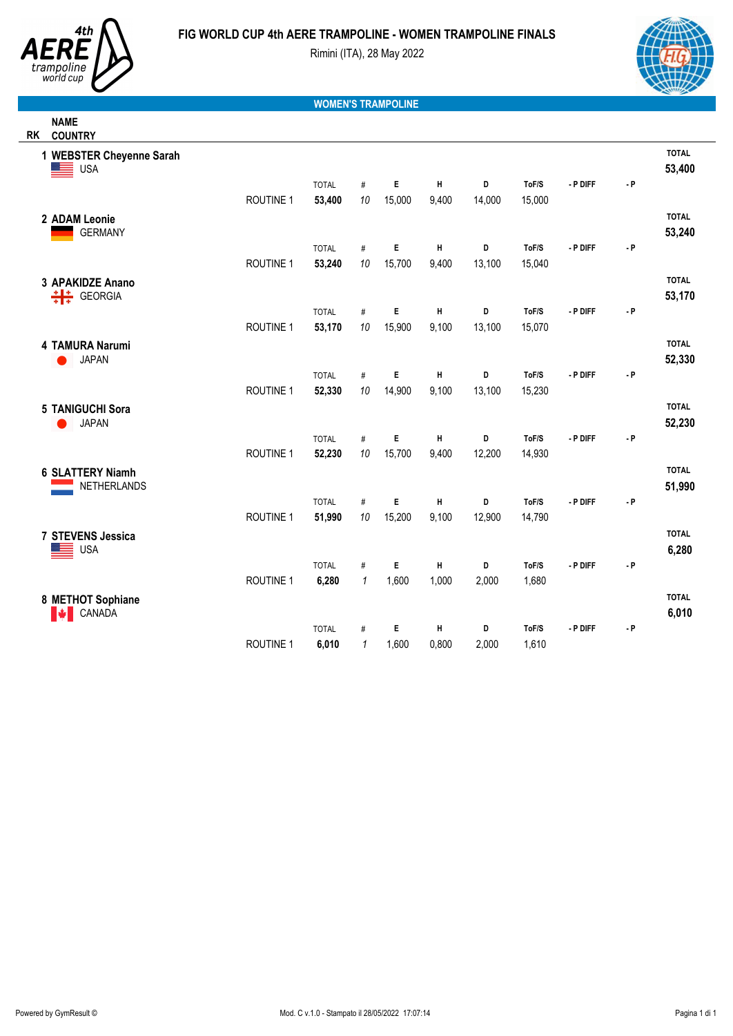



**NAME**

Rimini (ITA), 28 May 2022



## **WOMEN'S TRAMPOLINE**

| <b>RK</b> | <b>COUNTRY</b>                              |                  |              |              |        |       |        |        |          |                    |                        |
|-----------|---------------------------------------------|------------------|--------------|--------------|--------|-------|--------|--------|----------|--------------------|------------------------|
|           | 1 WEBSTER Cheyenne Sarah<br>Ξ<br><b>USA</b> |                  |              |              |        |       |        |        |          |                    | <b>TOTAL</b><br>53,400 |
|           |                                             |                  | <b>TOTAL</b> | $\#$         | E      | Н     | D      | ToF/S  | - P DIFF | $\mathbf{\cdot}$ P |                        |
|           |                                             | <b>ROUTINE 1</b> | 53,400       | 10           | 15,000 | 9,400 | 14,000 | 15,000 |          |                    |                        |
|           | 2 ADAM Leonie                               |                  |              |              |        |       |        |        |          |                    | <b>TOTAL</b>           |
|           | <b>GERMANY</b>                              |                  |              |              |        |       |        |        |          |                    | 53,240                 |
|           |                                             |                  | <b>TOTAL</b> | #            | E      | Н     | D      | ToF/S  | - P DIFF | $-$ P              |                        |
|           |                                             | <b>ROUTINE 1</b> | 53,240       | 10           | 15,700 | 9,400 | 13,100 | 15,040 |          |                    |                        |
|           | 3 APAKIDZE Anano                            |                  |              |              |        |       |        |        |          |                    | <b>TOTAL</b>           |
|           | 븎<br><b>GEORGIA</b>                         |                  |              |              |        |       |        |        |          |                    | 53,170                 |
|           |                                             |                  | <b>TOTAL</b> | $\#$         | E      | Н     | D      | ToF/S  | - P DIFF | $-$ P              |                        |
|           |                                             | <b>ROUTINE 1</b> | 53,170       | 10           | 15,900 | 9,100 | 13,100 | 15,070 |          |                    |                        |
|           | 4 TAMURA Narumi                             |                  |              |              |        |       |        |        |          |                    | <b>TOTAL</b>           |
|           | <b>JAPAN</b>                                |                  |              |              |        |       |        |        |          |                    | 52,330                 |
|           |                                             |                  | <b>TOTAL</b> | $\#$         | E      | Н     | D      | ToF/S  | - P DIFF | $\mathbf{\cdot}$ P |                        |
|           |                                             | ROUTINE 1        | 52,330       | 10           | 14,900 | 9,100 | 13,100 | 15,230 |          |                    |                        |
|           | 5 TANIGUCHI Sora                            |                  |              |              |        |       |        |        |          |                    | <b>TOTAL</b>           |
|           | <b>JAPAN</b>                                |                  |              |              |        |       |        |        |          |                    | 52,230                 |
|           |                                             |                  | <b>TOTAL</b> | $\#$         | E      | Н     | D      | ToF/S  | - P DIFF | $-$ P              |                        |
|           |                                             | <b>ROUTINE 1</b> | 52,230       | 10           | 15,700 | 9,400 | 12,200 | 14,930 |          |                    |                        |
|           | <b>6 SLATTERY Niamh</b>                     |                  |              |              |        |       |        |        |          |                    | <b>TOTAL</b>           |
|           | NETHERLANDS                                 |                  |              |              |        |       |        |        |          |                    | 51,990                 |
|           |                                             |                  | <b>TOTAL</b> | #            | E      | H     | D      | ToF/S  | - P DIFF | $-$ P              |                        |
|           |                                             | <b>ROUTINE 1</b> | 51,990       | 10           | 15,200 | 9,100 | 12,900 | 14,790 |          |                    |                        |
|           | 7 STEVENS Jessica                           |                  |              |              |        |       |        |        |          |                    | <b>TOTAL</b>           |
|           | <b>USA</b>                                  |                  |              |              |        |       |        |        |          |                    | 6,280                  |
|           |                                             |                  | <b>TOTAL</b> | $\#$         | E      | Н     | D      | ToF/S  | - P DIFF | $-$ P              |                        |
|           |                                             | ROUTINE 1        | 6,280        | $\mathbf{1}$ | 1,600  | 1,000 | 2,000  | 1,680  |          |                    |                        |
|           | 8 METHOT Sophiane                           |                  |              |              |        |       |        |        |          |                    | <b>TOTAL</b>           |
|           | CANADA<br><b>M</b>                          |                  |              |              |        |       |        |        |          |                    | 6,010                  |
|           |                                             |                  | <b>TOTAL</b> | $\#$         | E      | Н     | D      | ToF/S  | - P DIFF | $-$ P              |                        |
|           |                                             | ROUTINE 1        | 6,010        | 1            | 1,600  | 0,800 | 2,000  | 1,610  |          |                    |                        |